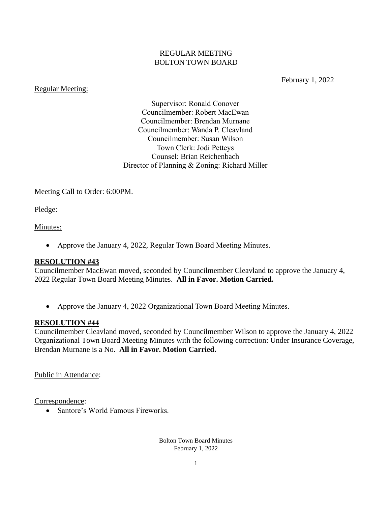#### REGULAR MEETING BOLTON TOWN BOARD

#### Regular Meeting:

February 1, 2022

Supervisor: Ronald Conover Councilmember: Robert MacEwan Councilmember: Brendan Murnane Councilmember: Wanda P. Cleavland Councilmember: Susan Wilson Town Clerk: Jodi Petteys Counsel: Brian Reichenbach Director of Planning & Zoning: Richard Miller

#### Meeting Call to Order: 6:00PM.

Pledge:

#### Minutes:

• Approve the January 4, 2022, Regular Town Board Meeting Minutes.

#### **RESOLUTION #43**

Councilmember MacEwan moved, seconded by Councilmember Cleavland to approve the January 4, 2022 Regular Town Board Meeting Minutes. **All in Favor. Motion Carried.**

• Approve the January 4, 2022 Organizational Town Board Meeting Minutes.

#### **RESOLUTION #44**

Councilmember Cleavland moved, seconded by Councilmember Wilson to approve the January 4, 2022 Organizational Town Board Meeting Minutes with the following correction: Under Insurance Coverage, Brendan Murnane is a No. **All in Favor. Motion Carried.**

Public in Attendance:

Correspondence:

• Santore's World Famous Fireworks.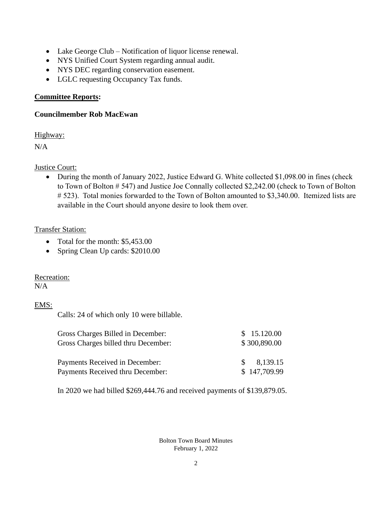- Lake George Club Notification of liquor license renewal.
- NYS Unified Court System regarding annual audit.
- NYS DEC regarding conservation easement.
- LGLC requesting Occupancy Tax funds.

# **Committee Reports:**

# **Councilmember Rob MacEwan**

Highway:

 $N/A$ 

# Justice Court:

• During the month of January 2022, Justice Edward G. White collected \$1,098.00 in fines (check to Town of Bolton # 547) and Justice Joe Connally collected \$2,242.00 (check to Town of Bolton # 523). Total monies forwarded to the Town of Bolton amounted to \$3,340.00. Itemized lists are available in the Court should anyone desire to look them over.

# Transfer Station:

- Total for the month: \$5,453.00
- Spring Clean Up cards: \$2010.00

# Recreation:

 $N/A$ 

# EMS:

Calls: 24 of which only 10 were billable.

| Gross Charges Billed in December:                                  | \$15.120.00                               |  |
|--------------------------------------------------------------------|-------------------------------------------|--|
| Gross Charges billed thru December:                                | \$300,890.00                              |  |
| Payments Received in December:<br>Payments Received thru December: | 8,139.15<br>$\mathcal{S}$<br>\$147,709.99 |  |

In 2020 we had billed \$269,444.76 and received payments of \$139,879.05.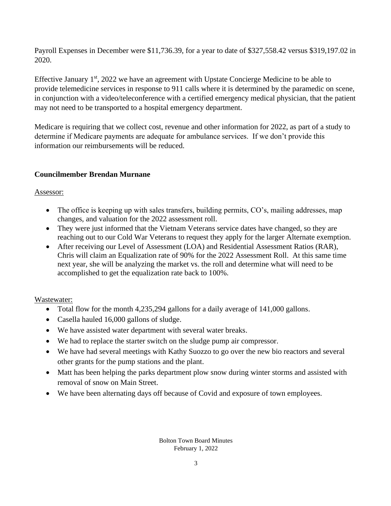Payroll Expenses in December were \$11,736.39, for a year to date of \$327,558.42 versus \$319,197.02 in 2020.

Effective January 1<sup>st</sup>, 2022 we have an agreement with Upstate Concierge Medicine to be able to provide telemedicine services in response to 911 calls where it is determined by the paramedic on scene, in conjunction with a video/teleconference with a certified emergency medical physician, that the patient may not need to be transported to a hospital emergency department.

Medicare is requiring that we collect cost, revenue and other information for 2022, as part of a study to determine if Medicare payments are adequate for ambulance services. If we don't provide this information our reimbursements will be reduced.

# **Councilmember Brendan Murnane**

#### Assessor:

- The office is keeping up with sales transfers, building permits, CO's, mailing addresses, map changes, and valuation for the 2022 assessment roll.
- They were just informed that the Vietnam Veterans service dates have changed, so they are reaching out to our Cold War Veterans to request they apply for the larger Alternate exemption.
- After receiving our Level of Assessment (LOA) and Residential Assessment Ratios (RAR), Chris will claim an Equalization rate of 90% for the 2022 Assessment Roll. At this same time next year, she will be analyzing the market vs. the roll and determine what will need to be accomplished to get the equalization rate back to 100%.

## Wastewater:

- Total flow for the month 4,235,294 gallons for a daily average of 141,000 gallons.
- Casella hauled 16,000 gallons of sludge.
- We have assisted water department with several water breaks.
- We had to replace the starter switch on the sludge pump air compressor.
- We have had several meetings with Kathy Suozzo to go over the new bio reactors and several other grants for the pump stations and the plant.
- Matt has been helping the parks department plow snow during winter storms and assisted with removal of snow on Main Street.
- We have been alternating days off because of Covid and exposure of town employees.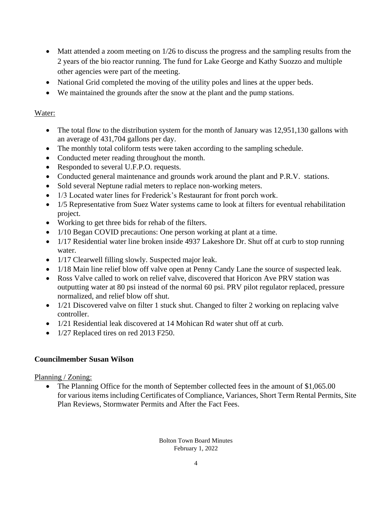- Matt attended a zoom meeting on 1/26 to discuss the progress and the sampling results from the 2 years of the bio reactor running. The fund for Lake George and Kathy Suozzo and multiple other agencies were part of the meeting.
- National Grid completed the moving of the utility poles and lines at the upper beds.
- We maintained the grounds after the snow at the plant and the pump stations.

## Water:

- The total flow to the distribution system for the month of January was 12,951,130 gallons with an average of 431,704 gallons per day.
- The monthly total coliform tests were taken according to the sampling schedule.
- Conducted meter reading throughout the month.
- Responded to several U.F.P.O. requests.
- Conducted general maintenance and grounds work around the plant and P.R.V. stations.
- Sold several Neptune radial meters to replace non-working meters.
- 1/3 Located water lines for Frederick's Restaurant for front porch work.
- 1/5 Representative from Suez Water systems came to look at filters for eventual rehabilitation project.
- Working to get three bids for rehab of the filters.
- 1/10 Began COVID precautions: One person working at plant at a time.
- 1/17 Residential water line broken inside 4937 Lakeshore Dr. Shut off at curb to stop running water.
- 1/17 Clearwell filling slowly. Suspected major leak.
- 1/18 Main line relief blow off valve open at Penny Candy Lane the source of suspected leak.
- Ross Valve called to work on relief valve, discovered that Horicon Ave PRV station was outputting water at 80 psi instead of the normal 60 psi. PRV pilot regulator replaced, pressure normalized, and relief blow off shut.
- 1/21 Discovered valve on filter 1 stuck shut. Changed to filter 2 working on replacing valve controller.
- 1/21 Residential leak discovered at 14 Mohican Rd water shut off at curb.
- 1/27 Replaced tires on red 2013 F250.

## **Councilmember Susan Wilson**

Planning / Zoning:

The Planning Office for the month of September collected fees in the amount of \$1,065.00 for various items including Certificates of Compliance, Variances, Short Term Rental Permits, Site Plan Reviews, Stormwater Permits and After the Fact Fees.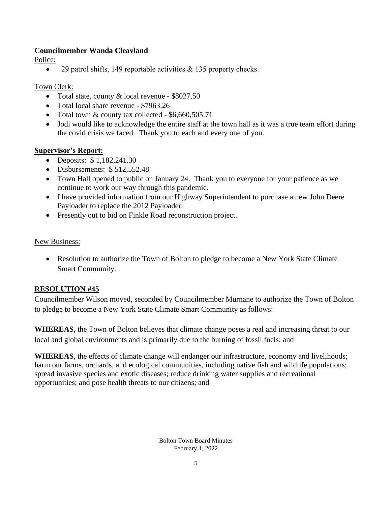# **Councilmember Wanda Cleavland**

Police:

• 29 patrol shifts, 149 reportable activities & 135 property checks.

## Town Clerk:

- Total state, county & local revenue \$8027.50
- Total local share revenue \$7963.26
- Total town & county tax collected \$6,660,505.71
- Jodi would like to acknowledge the entire staff at the town hall as it was a true team effort during the covid crisis we faced. Thank you to each and every one of you.

## **Supervisor's Report:**

- Deposits: \$1,182,241.30
- Disbursements: \$512,552.48
- Town Hall opened to public on January 24. Thank you to everyone for your patience as we continue to work our way through this pandemic.
- I have provided information from our Highway Superintendent to purchase a new John Deere Payloader to replace the 2012 Payloader.
- Presently out to bid on Finkle Road reconstruction project.

## New Business:

• Resolution to authorize the Town of Bolton to pledge to become a New York State Climate Smart Community.

## **RESOLUTION #45**

Councilmember Wilson moved, seconded by Councilmember Murnane to authorize the Town of Bolton to pledge to become a New York State Climate Smart Community as follows:

**WHEREAS**, the Town of Bolton believes that climate change poses a real and increasing threat to our local and global environments and is primarily due to the burning of fossil fuels; and

**WHEREAS**, the effects of climate change will endanger our infrastructure, economy and livelihoods; harm our farms, orchards, and ecological communities, including native fish and wildlife populations; spread invasive species and exotic diseases; reduce drinking water supplies and recreational opportunities; and pose health threats to our citizens; and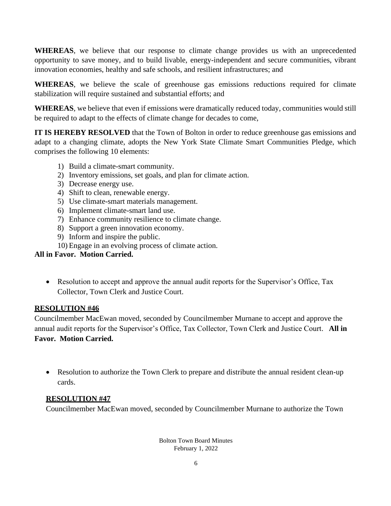**WHEREAS**, we believe that our response to climate change provides us with an unprecedented opportunity to save money, and to build livable, energy-independent and secure communities, vibrant innovation economies, healthy and safe schools, and resilient infrastructures; and

**WHEREAS**, we believe the scale of greenhouse gas emissions reductions required for climate stabilization will require sustained and substantial efforts; and

**WHEREAS**, we believe that even if emissions were dramatically reduced today, communities would still be required to adapt to the effects of climate change for decades to come,

**IT IS HEREBY RESOLVED** that the Town of Bolton in order to reduce greenhouse gas emissions and adapt to a changing climate, adopts the New York State Climate Smart Communities Pledge, which comprises the following 10 elements:

- 1) Build a climate-smart community.
- 2) Inventory emissions, set goals, and plan for climate action.
- 3) Decrease energy use.
- 4) Shift to clean, renewable energy.
- 5) Use climate-smart materials management.
- 6) Implement climate-smart land use.
- 7) Enhance community resilience to climate change.
- 8) Support a green innovation economy.
- 9) Inform and inspire the public.
- 10) Engage in an evolving process of climate action.

#### **All in Favor. Motion Carried.**

• Resolution to accept and approve the annual audit reports for the Supervisor's Office, Tax Collector, Town Clerk and Justice Court.

## **RESOLUTION #46**

Councilmember MacEwan moved, seconded by Councilmember Murnane to accept and approve the annual audit reports for the Supervisor's Office, Tax Collector, Town Clerk and Justice Court. **All in Favor. Motion Carried.**

• Resolution to authorize the Town Clerk to prepare and distribute the annual resident clean-up cards.

## **RESOLUTION #47**

Councilmember MacEwan moved, seconded by Councilmember Murnane to authorize the Town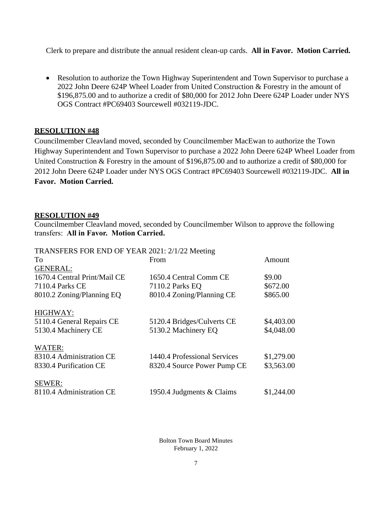Clerk to prepare and distribute the annual resident clean-up cards. **All in Favor. Motion Carried.**

• Resolution to authorize the Town Highway Superintendent and Town Supervisor to purchase a 2022 John Deere 624P Wheel Loader from United Construction & Forestry in the amount of \$196,875.00 and to authorize a credit of \$80,000 for 2012 John Deere 624P Loader under NYS OGS Contract #PC69403 Sourcewell #032119-JDC.

#### **RESOLUTION #48**

Councilmember Cleavland moved, seconded by Councilmember MacEwan to authorize the Town Highway Superintendent and Town Supervisor to purchase a 2022 John Deere 624P Wheel Loader from United Construction & Forestry in the amount of \$196,875.00 and to authorize a credit of \$80,000 for 2012 John Deere 624P Loader under NYS OGS Contract #PC69403 Sourcewell #032119-JDC. **All in Favor. Motion Carried.**

#### **RESOLUTION #49**

Councilmember Cleavland moved, seconded by Councilmember Wilson to approve the following transfers: **All in Favor. Motion Carried.**

| TRANSFERS FOR END OF YEAR 2021: 2/1/22 Meeting |                              |            |
|------------------------------------------------|------------------------------|------------|
| To                                             | From                         | Amount     |
| <b>GENERAL:</b>                                |                              |            |
| 1670.4 Central Print/Mail CE                   | 1650.4 Central Comm CE       | \$9.00     |
| 7110.4 Parks CE                                | 7110.2 Parks EQ              | \$672.00   |
| 8010.2 Zoning/Planning EQ                      | 8010.4 Zoning/Planning CE    | \$865.00   |
| HIGHWAY:                                       |                              |            |
| 5110.4 General Repairs CE                      | 5120.4 Bridges/Culverts CE   | \$4,403.00 |
| 5130.4 Machinery CE                            | 5130.2 Machinery EQ          | \$4,048.00 |
| WATER:                                         |                              |            |
| 8310.4 Administration CE                       | 1440.4 Professional Services | \$1,279.00 |
| 8330.4 Purification CE                         | 8320.4 Source Power Pump CE  | \$3,563.00 |
| SEWER:                                         |                              |            |
| 8110.4 Administration CE                       | 1950.4 Judgments & Claims    | \$1,244.00 |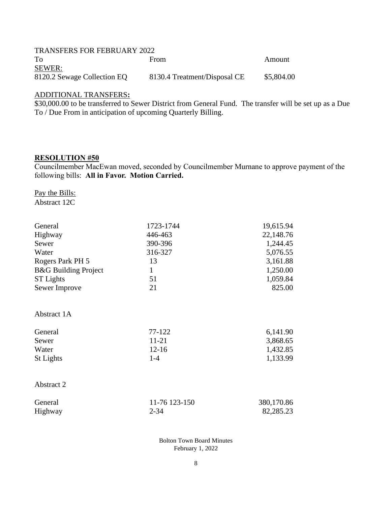| <b>TRANSFERS FOR FEBRUARY 2022</b> |                              |            |
|------------------------------------|------------------------------|------------|
| To                                 | From                         | Amount     |
| <b>SEWER:</b>                      |                              |            |
| 8120.2 Sewage Collection EQ        | 8130.4 Treatment/Disposal CE | \$5,804.00 |

#### ADDITIONAL TRANSFERS**:**

\$30,000.00 to be transferred to Sewer District from General Fund. The transfer will be set up as a Due To / Due From in anticipation of upcoming Quarterly Billing.

#### **RESOLUTION #50**

Councilmember MacEwan moved, seconded by Councilmember Murnane to approve payment of the following bills: **All in Favor. Motion Carried.**

Pay the Bills:

| General                         | 1723-1744     | 19,615.94  |
|---------------------------------|---------------|------------|
| Highway                         | 446-463       | 22,148.76  |
| Sewer                           | 390-396       | 1,244.45   |
| Water                           | 316-327       | 5,076.55   |
| Rogers Park PH 5                | 13            | 3,161.88   |
| <b>B&amp;G</b> Building Project | $\mathbf{1}$  | 1,250.00   |
| <b>ST</b> Lights                | 51            | 1,059.84   |
| Sewer Improve                   | 21            | 825.00     |
| Abstract 1A                     |               |            |
| General                         | 77-122        | 6,141.90   |
| Sewer                           | 11-21         | 3,868.65   |
| Water                           | $12 - 16$     | 1,432.85   |
| <b>St Lights</b>                | $1-4$         | 1,133.99   |
| Abstract 2                      |               |            |
| General                         | 11-76 123-150 | 380,170.86 |
| Highway                         | $2 - 34$      | 82,285.23  |
|                                 |               |            |